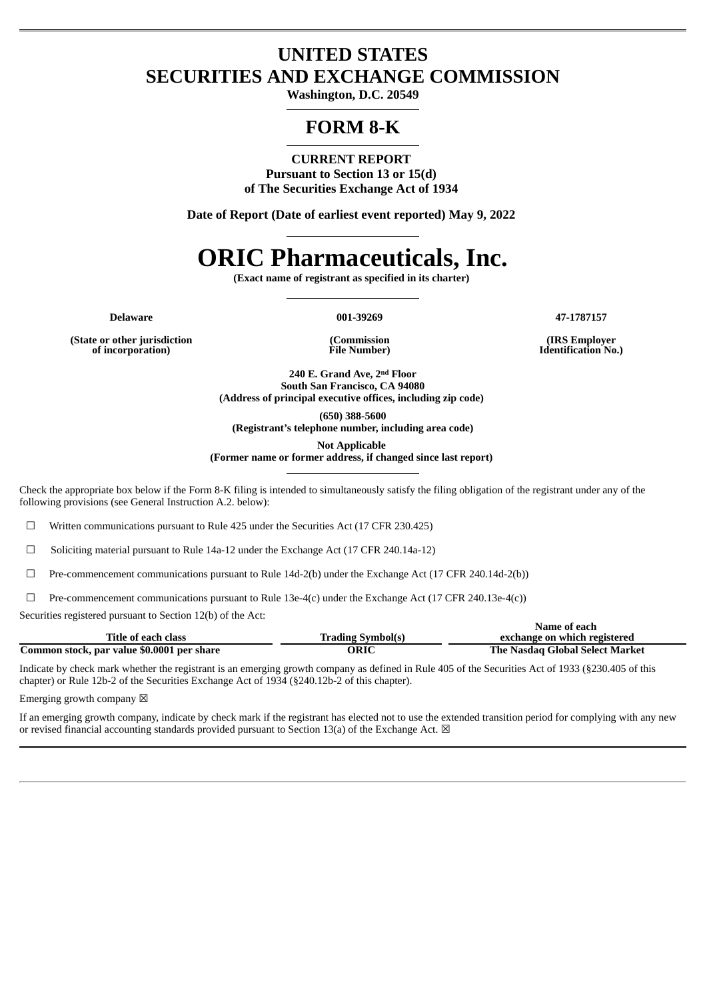# **UNITED STATES SECURITIES AND EXCHANGE COMMISSION**

**Washington, D.C. 20549**

# **FORM 8-K**

**CURRENT REPORT Pursuant to Section 13 or 15(d) of The Securities Exchange Act of 1934**

**Date of Report (Date of earliest event reported) May 9, 2022**

# **ORIC Pharmaceuticals, Inc.**

**(Exact name of registrant as specified in its charter)**

**Delaware 001-39269 47-1787157**

**(State or other jurisdiction of incorporation)**

**(Commission File Number)**

**(IRS Employer Identification No.)**

**240 E. Grand Ave, 2 nd Floor South San Francisco, CA 94080 (Address of principal executive offices, including zip code)**

**(650) 388-5600**

**(Registrant's telephone number, including area code)**

**Not Applicable (Former name or former address, if changed since last report)**

Check the appropriate box below if the Form 8-K filing is intended to simultaneously satisfy the filing obligation of the registrant under any of the following provisions (see General Instruction A.2. below):

☐ Written communications pursuant to Rule 425 under the Securities Act (17 CFR 230.425)

☐ Soliciting material pursuant to Rule 14a-12 under the Exchange Act (17 CFR 240.14a-12)

☐ Pre-commencement communications pursuant to Rule 14d-2(b) under the Exchange Act (17 CFR 240.14d-2(b))

☐ Pre-commencement communications pursuant to Rule 13e-4(c) under the Exchange Act (17 CFR 240.13e-4(c))

Securities registered pursuant to Section 12(b) of the Act:

|                                            |                          | Name of each                    |
|--------------------------------------------|--------------------------|---------------------------------|
| Title of each class                        | <b>Trading Symbol(s)</b> | exchange on which registered    |
| Common stock, par value \$0.0001 per share | ORIC                     | The Nasdag Global Select Market |

Indicate by check mark whether the registrant is an emerging growth company as defined in Rule 405 of the Securities Act of 1933 (§230.405 of this chapter) or Rule 12b-2 of the Securities Exchange Act of 1934 (§240.12b-2 of this chapter).

Emerging growth company  $\boxtimes$ 

If an emerging growth company, indicate by check mark if the registrant has elected not to use the extended transition period for complying with any new or revised financial accounting standards provided pursuant to Section 13(a) of the Exchange Act.  $\boxtimes$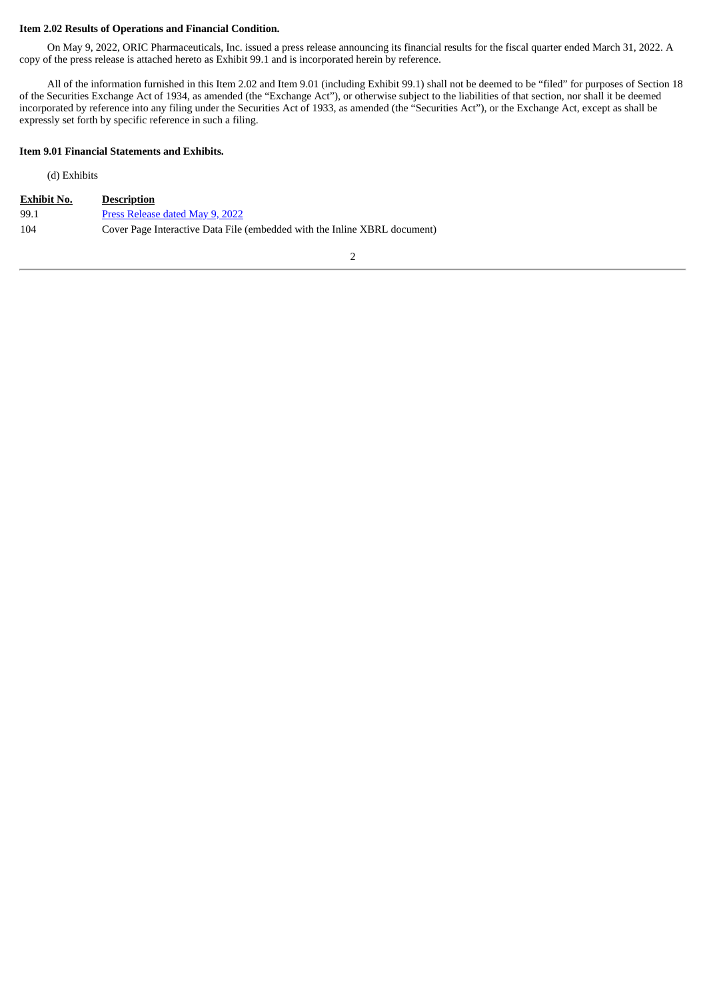#### **Item 2.02 Results of Operations and Financial Condition.**

On May 9, 2022, ORIC Pharmaceuticals, Inc. issued a press release announcing its financial results for the fiscal quarter ended March 31, 2022. A copy of the press release is attached hereto as Exhibit 99.1 and is incorporated herein by reference.

All of the information furnished in this Item 2.02 and Item 9.01 (including Exhibit 99.1) shall not be deemed to be "filed" for purposes of Section 18 of the Securities Exchange Act of 1934, as amended (the "Exchange Act"), or otherwise subject to the liabilities of that section, nor shall it be deemed incorporated by reference into any filing under the Securities Act of 1933, as amended (the "Securities Act"), or the Exchange Act, except as shall be expressly set forth by specific reference in such a filing.

#### **Item 9.01 Financial Statements and Exhibits.**

#### (d) Exhibits

| <b>Exhibit No.</b> | <b>Description</b>                                                        |
|--------------------|---------------------------------------------------------------------------|
| 99.1               | Press Release dated May 9, 2022                                           |
| 104                | Cover Page Interactive Data File (embedded with the Inline XBRL document) |

2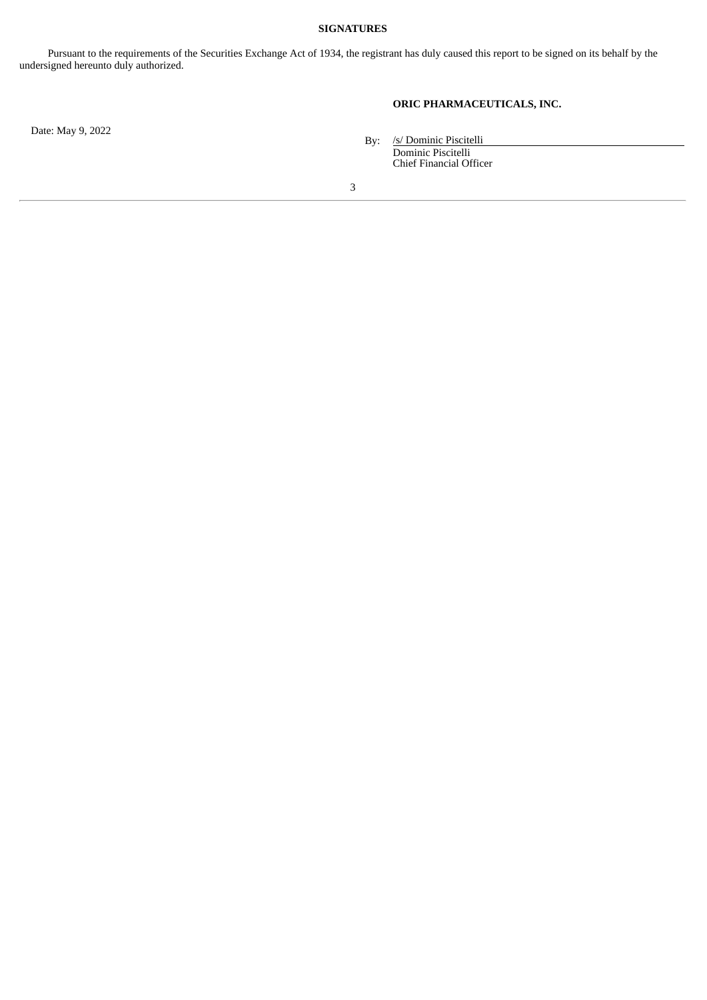#### **SIGNATURES**

Pursuant to the requirements of the Securities Exchange Act of 1934, the registrant has duly caused this report to be signed on its behalf by the undersigned hereunto duly authorized.

# **ORIC PHARMACEUTICALS, INC.**

Date: May 9, 2022

By: /s/ Dominic Piscitelli Dominic Piscitelli Chief Financial Officer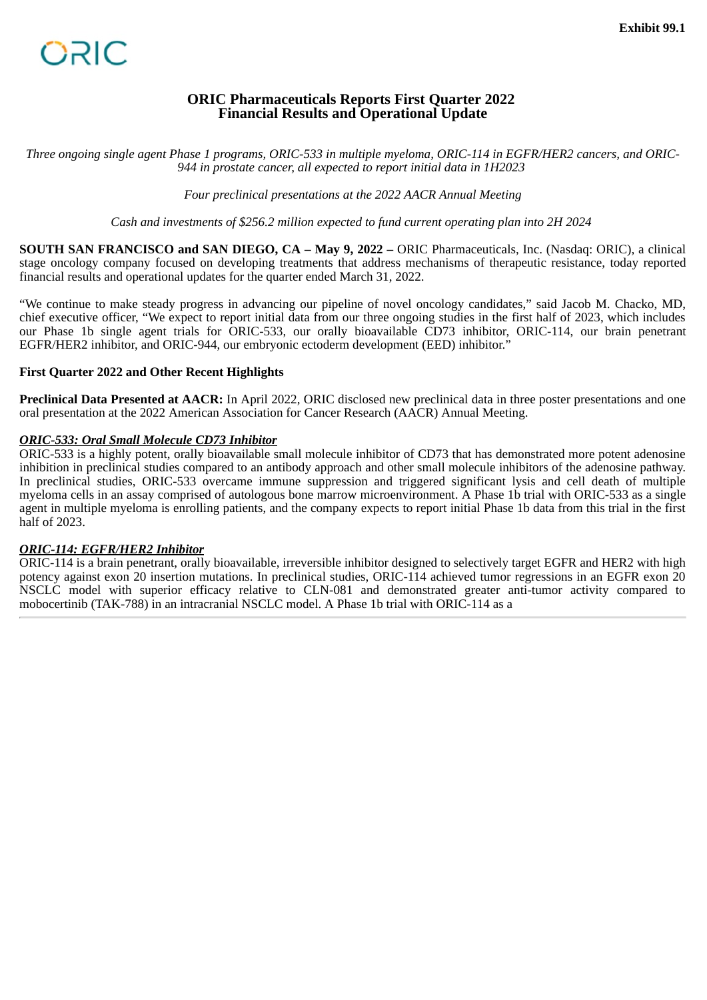# **ORIC Pharmaceuticals Reports First Quarter 2022 Financial Results and Operational Update**

<span id="page-3-0"></span>*Three ongoing single agent Phase 1 programs, ORIC-533 in multiple myeloma, ORIC-114 in EGFR/HER2 cancers, and ORIC-944 in prostate cancer, all expected to report initial data in 1H2023*

*Four preclinical presentations at the 2022 AACR Annual Meeting*

*Cash and investments of \$256.2 million expected to fund current operating plan into 2H 2024*

**SOUTH SAN FRANCISCO and SAN DIEGO, CA – May 9, 2022 – ORIC Pharmaceuticals, Inc. (Nasdaq: ORIC), a clinical** stage oncology company focused on developing treatments that address mechanisms of therapeutic resistance, today reported financial results and operational updates for the quarter ended March 31, 2022.

"We continue to make steady progress in advancing our pipeline of novel oncology candidates," said Jacob M. Chacko, MD, chief executive officer, "We expect to report initial data from our three ongoing studies in the first half of 2023, which includes our Phase 1b single agent trials for ORIC-533, our orally bioavailable CD73 inhibitor, ORIC-114, our brain penetrant EGFR/HER2 inhibitor, and ORIC-944, our embryonic ectoderm development (EED) inhibitor."

## **First Quarter 2022 and Other Recent Highlights**

**Preclinical Data Presented at AACR:** In April 2022, ORIC disclosed new preclinical data in three poster presentations and one oral presentation at the 2022 American Association for Cancer Research (AACR) Annual Meeting.

#### *ORIC-533: Oral Small Molecule CD73 Inhibitor*

ORIC-533 is a highly potent, orally bioavailable small molecule inhibitor of CD73 that has demonstrated more potent adenosine inhibition in preclinical studies compared to an antibody approach and other small molecule inhibitors of the adenosine pathway. In preclinical studies, ORIC-533 overcame immune suppression and triggered significant lysis and cell death of multiple myeloma cells in an assay comprised of autologous bone marrow microenvironment. A Phase 1b trial with ORIC-533 as a single agent in multiple myeloma is enrolling patients, and the company expects to report initial Phase 1b data from this trial in the first half of 2023.

## *ORIC-114: EGFR/HER2 Inhibitor*

ORIC-114 is a brain penetrant, orally bioavailable, irreversible inhibitor designed to selectively target EGFR and HER2 with high potency against exon 20 insertion mutations. In preclinical studies, ORIC-114 achieved tumor regressions in an EGFR exon 20 NSCLC model with superior efficacy relative to CLN-081 and demonstrated greater anti-tumor activity compared to mobocertinib (TAK-788) in an intracranial NSCLC model. A Phase 1b trial with ORIC-114 as a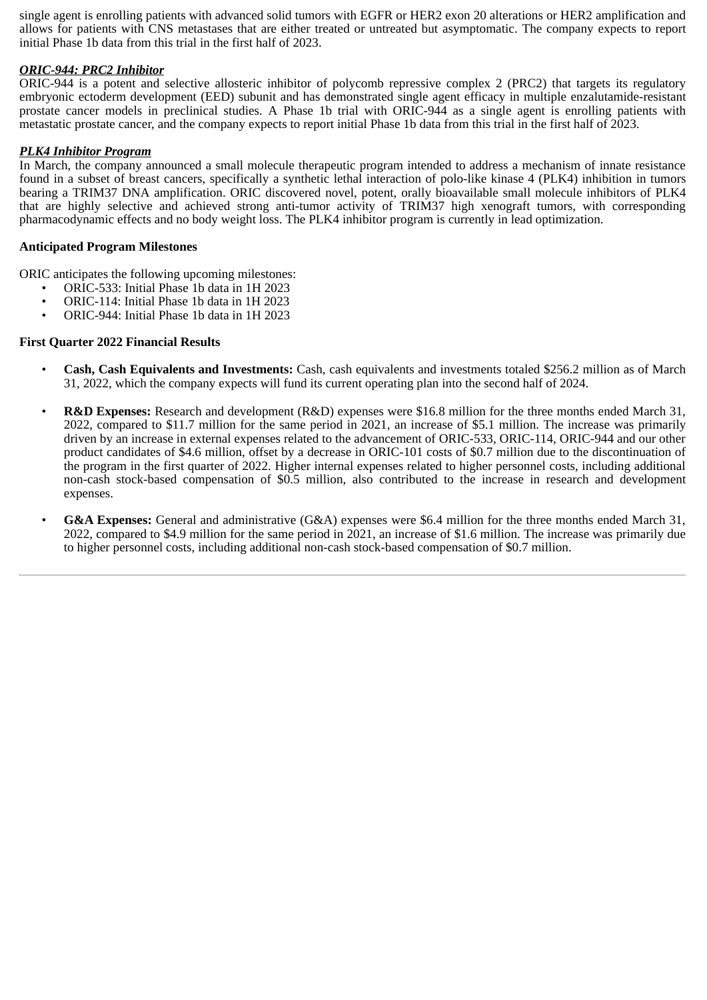single agent is enrolling patients with advanced solid tumors with EGFR or HER2 exon 20 alterations or HER2 amplification and allows for patients with CNS metastases that are either treated or untreated but asymptomatic. The company expects to report initial Phase 1b data from this trial in the first half of 2023.

# *ORIC-944: PRC2 Inhibitor*

ORIC-944 is a potent and selective allosteric inhibitor of polycomb repressive complex 2 (PRC2) that targets its regulatory embryonic ectoderm development (EED) subunit and has demonstrated single agent efficacy in multiple enzalutamide-resistant prostate cancer models in preclinical studies. A Phase 1b trial with ORIC-944 as a single agent is enrolling patients with metastatic prostate cancer, and the company expects to report initial Phase 1b data from this trial in the first half of 2023.

## *PLK4 Inhibitor Program*

In March, the company announced a small molecule therapeutic program intended to address a mechanism of innate resistance found in a subset of breast cancers, specifically a synthetic lethal interaction of polo-like kinase 4 (PLK4) inhibition in tumors bearing a TRIM37 DNA amplification. ORIC discovered novel, potent, orally bioavailable small molecule inhibitors of PLK4 that are highly selective and achieved strong anti-tumor activity of TRIM37 high xenograft tumors, with corresponding pharmacodynamic effects and no body weight loss. The PLK4 inhibitor program is currently in lead optimization.

#### **Anticipated Program Milestones**

ORIC anticipates the following upcoming milestones:

- ORIC-533: Initial Phase 1b data in 1H 2023
- ORIC-114: Initial Phase 1b data in 1H 2023
- ORIC-944: Initial Phase 1b data in 1H 2023

#### **First Quarter 2022 Financial Results**

- **Cash, Cash Equivalents and Investments:** Cash, cash equivalents and investments totaled \$256.2 million as of March 31, 2022, which the company expects will fund its current operating plan into the second half of 2024.
- **R&D Expenses:** Research and development (R&D) expenses were \$16.8 million for the three months ended March 31, 2022, compared to \$11.7 million for the same period in 2021, an increase of \$5.1 million. The increase was primarily driven by an increase in external expenses related to the advancement of ORIC-533, ORIC-114, ORIC-944 and our other product candidates of \$4.6 million, offset by a decrease in ORIC-101 costs of \$0.7 million due to the discontinuation of the program in the first quarter of 2022. Higher internal expenses related to higher personnel costs, including additional non-cash stock-based compensation of \$0.5 million, also contributed to the increase in research and development expenses.
- **G&A Expenses:** General and administrative (G&A) expenses were \$6.4 million for the three months ended March 31, 2022, compared to \$4.9 million for the same period in 2021, an increase of \$1.6 million. The increase was primarily due to higher personnel costs, including additional non-cash stock-based compensation of \$0.7 million.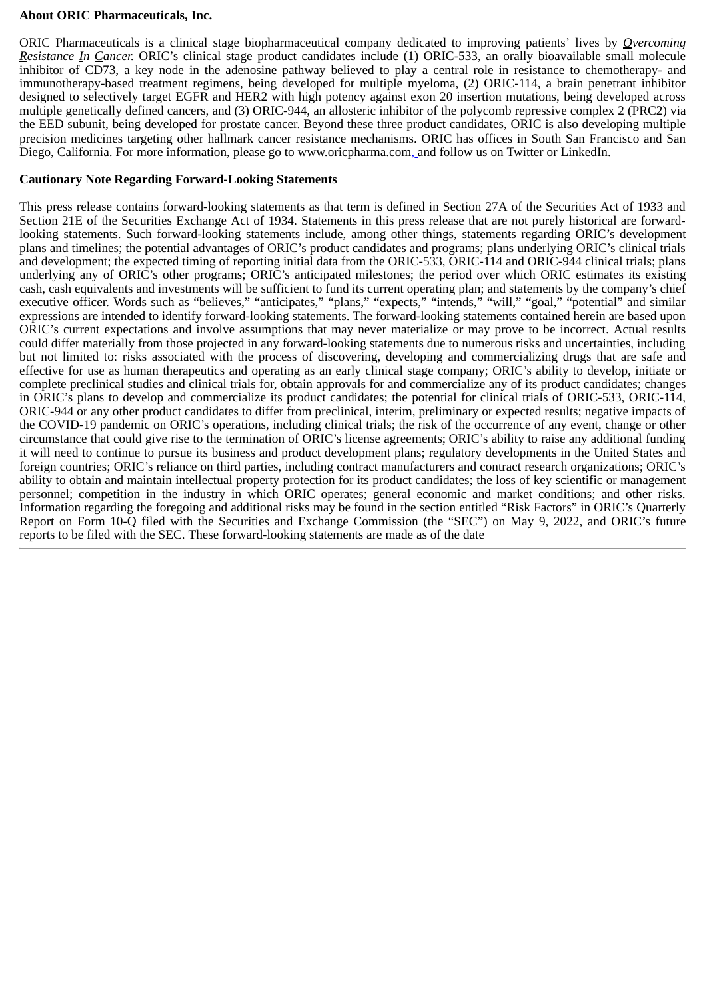#### **About ORIC Pharmaceuticals, Inc.**

ORIC Pharmaceuticals is a clinical stage biopharmaceutical company dedicated to improving patients' lives by *Overcoming Resistance In Cancer.* ORIC's clinical stage product candidates include (1) ORIC-533, an orally bioavailable small molecule inhibitor of CD73, a key node in the adenosine pathway believed to play a central role in resistance to chemotherapy- and immunotherapy-based treatment regimens, being developed for multiple myeloma, (2) ORIC-114, a brain penetrant inhibitor designed to selectively target EGFR and HER2 with high potency against exon 20 insertion mutations, being developed across multiple genetically defined cancers, and (3) ORIC-944, an allosteric inhibitor of the polycomb repressive complex 2 (PRC2) via the EED subunit, being developed for prostate cancer. Beyond these three product candidates, ORIC is also developing multiple precision medicines targeting other hallmark cancer resistance mechanisms. ORIC has offices in South San Francisco and San Diego, California. For more information, please go to www.oricpharma.com, and follow us on Twitter or LinkedIn.

## **Cautionary Note Regarding Forward-Looking Statements**

This press release contains forward-looking statements as that term is defined in Section 27A of the Securities Act of 1933 and Section 21E of the Securities Exchange Act of 1934. Statements in this press release that are not purely historical are forwardlooking statements. Such forward-looking statements include, among other things, statements regarding ORIC's development plans and timelines; the potential advantages of ORIC's product candidates and programs; plans underlying ORIC's clinical trials and development; the expected timing of reporting initial data from the ORIC-533, ORIC-114 and ORIC-944 clinical trials; plans underlying any of ORIC's other programs; ORIC's anticipated milestones; the period over which ORIC estimates its existing cash, cash equivalents and investments will be sufficient to fund its current operating plan; and statements by the company's chief executive officer. Words such as "believes," "anticipates," "plans," "expects," "intends," "will," "goal," "potential" and similar expressions are intended to identify forward-looking statements. The forward-looking statements contained herein are based upon ORIC's current expectations and involve assumptions that may never materialize or may prove to be incorrect. Actual results could differ materially from those projected in any forward-looking statements due to numerous risks and uncertainties, including but not limited to: risks associated with the process of discovering, developing and commercializing drugs that are safe and effective for use as human therapeutics and operating as an early clinical stage company; ORIC's ability to develop, initiate or complete preclinical studies and clinical trials for, obtain approvals for and commercialize any of its product candidates; changes in ORIC's plans to develop and commercialize its product candidates; the potential for clinical trials of ORIC-533, ORIC-114, ORIC-944 or any other product candidates to differ from preclinical, interim, preliminary or expected results; negative impacts of the COVID-19 pandemic on ORIC's operations, including clinical trials; the risk of the occurrence of any event, change or other circumstance that could give rise to the termination of ORIC's license agreements; ORIC's ability to raise any additional funding it will need to continue to pursue its business and product development plans; regulatory developments in the United States and foreign countries; ORIC's reliance on third parties, including contract manufacturers and contract research organizations; ORIC's ability to obtain and maintain intellectual property protection for its product candidates; the loss of key scientific or management personnel; competition in the industry in which ORIC operates; general economic and market conditions; and other risks. Information regarding the foregoing and additional risks may be found in the section entitled "Risk Factors" in ORIC's Quarterly Report on Form 10-Q filed with the Securities and Exchange Commission (the "SEC") on May 9, 2022, and ORIC's future reports to be filed with the SEC. These forward-looking statements are made as of the date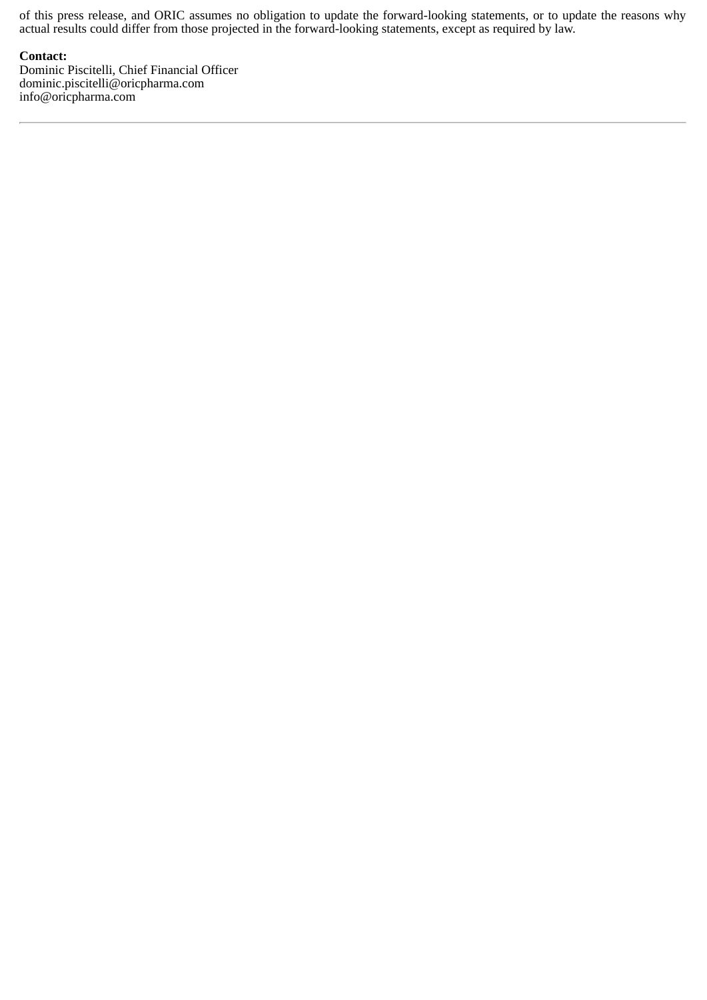of this press release, and ORIC assumes no obligation to update the forward-looking statements, or to update the reasons why actual results could differ from those projected in the forward-looking statements, except as required by law.

#### **Contact:**

Dominic Piscitelli, Chief Financial Officer dominic.piscitelli@oricpharma.com info@oricpharma.com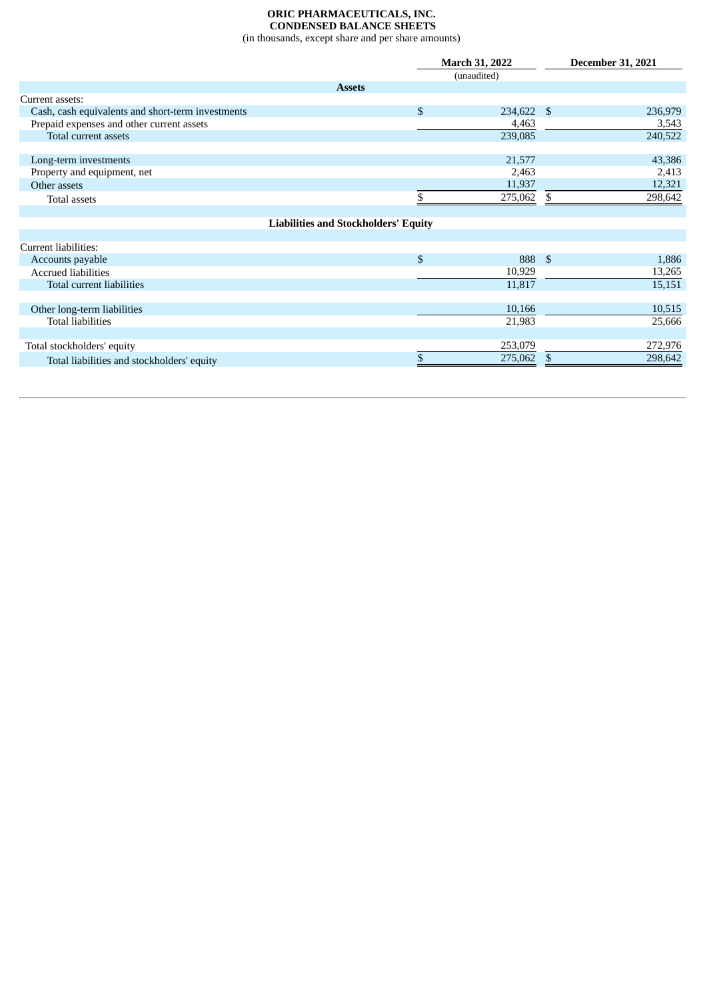#### **ORIC PHARMACEUTICALS, INC. CONDENSED BALANCE SHEETS** (in thousands, except share and per share amounts)

|                                                   |                                             | <b>March 31, 2022</b> |             |              | <b>December 31, 2021</b> |  |
|---------------------------------------------------|---------------------------------------------|-----------------------|-------------|--------------|--------------------------|--|
|                                                   |                                             |                       | (unaudited) |              |                          |  |
|                                                   | <b>Assets</b>                               |                       |             |              |                          |  |
| Current assets:                                   |                                             |                       |             |              |                          |  |
| Cash, cash equivalents and short-term investments |                                             | $\mathbb{S}$          | 234,622 \$  |              | 236,979                  |  |
| Prepaid expenses and other current assets         |                                             |                       | 4,463       |              | 3,543                    |  |
| Total current assets                              |                                             |                       | 239,085     |              | 240,522                  |  |
|                                                   |                                             |                       |             |              |                          |  |
| Long-term investments                             |                                             |                       | 21,577      |              | 43,386                   |  |
| Property and equipment, net                       |                                             |                       | 2,463       |              | 2,413                    |  |
| Other assets                                      |                                             |                       | 11,937      |              | 12,321                   |  |
| Total assets                                      |                                             | \$                    | 275,062     | \$           | 298,642                  |  |
|                                                   |                                             |                       |             |              |                          |  |
|                                                   | <b>Liabilities and Stockholders' Equity</b> |                       |             |              |                          |  |
|                                                   |                                             |                       |             |              |                          |  |
| Current liabilities:                              |                                             |                       |             |              |                          |  |
| Accounts payable                                  |                                             | $\mathbb{S}$          | 888         | $\mathbf{s}$ | 1,886                    |  |
| <b>Accrued liabilities</b>                        |                                             |                       | 10,929      |              | 13,265                   |  |
| Total current liabilities                         |                                             |                       | 11,817      |              | 15,151                   |  |
|                                                   |                                             |                       |             |              |                          |  |
| Other long-term liabilities                       |                                             |                       | 10,166      |              | 10,515                   |  |
| <b>Total liabilities</b>                          |                                             |                       | 21,983      |              | 25,666                   |  |
|                                                   |                                             |                       |             |              |                          |  |
| Total stockholders' equity                        |                                             |                       | 253,079     |              | 272,976                  |  |
| Total liabilities and stockholders' equity        |                                             |                       | 275,062     | \$           | 298,642                  |  |